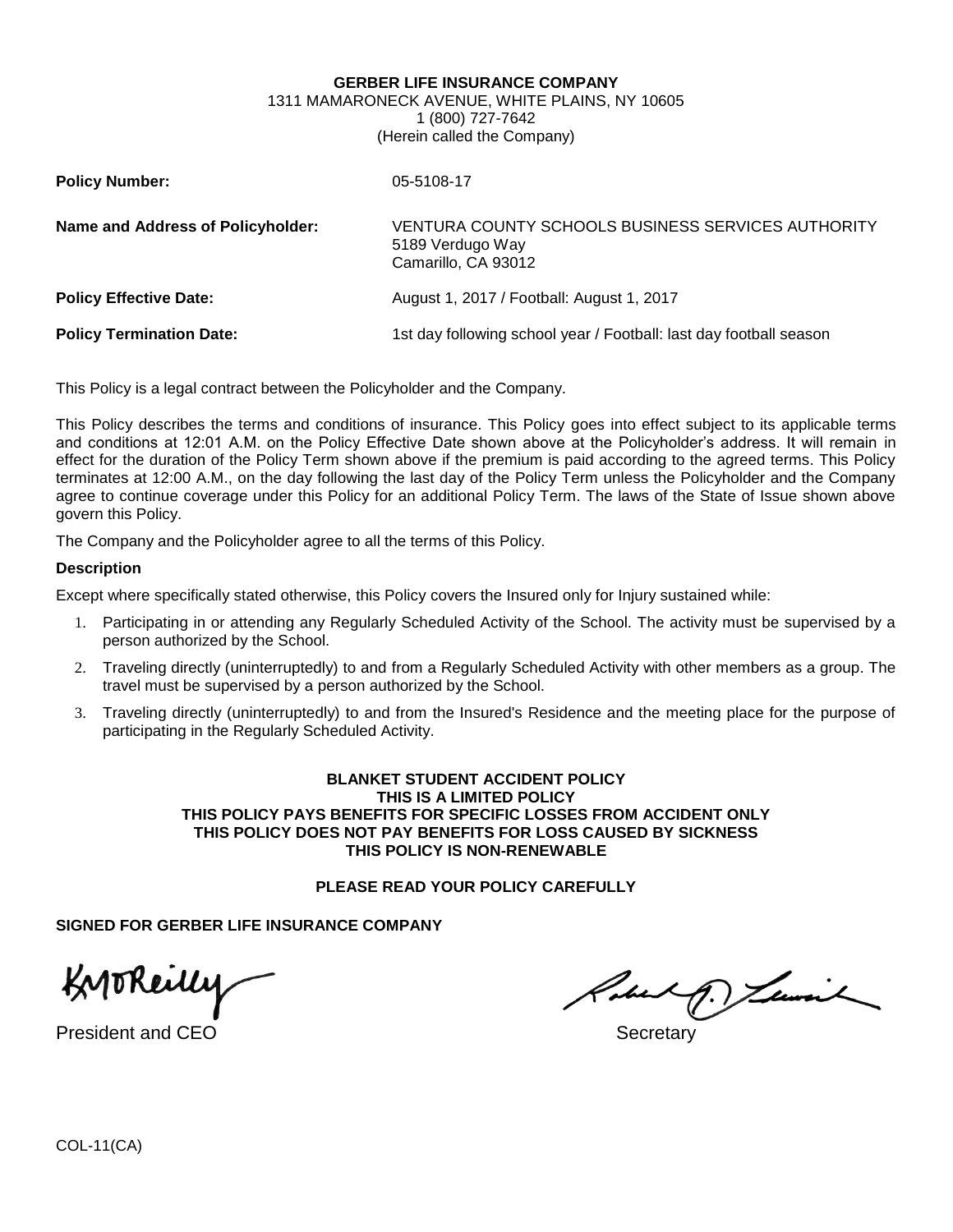#### **GERBER LIFE INSURANCE COMPANY**

#### 1311 MAMARONECK AVENUE, WHITE PLAINS, NY 10605 1 (800) 727-7642 (Herein called the Company)

| <b>Policy Number:</b>             | 05-5108-17                                                                                    |
|-----------------------------------|-----------------------------------------------------------------------------------------------|
| Name and Address of Policyholder: | VENTURA COUNTY SCHOOLS BUSINESS SERVICES AUTHORITY<br>5189 Verdugo Way<br>Camarillo, CA 93012 |
| <b>Policy Effective Date:</b>     | August 1, 2017 / Football: August 1, 2017                                                     |
| <b>Policy Termination Date:</b>   | 1st day following school year / Football: last day football season                            |

This Policy is a legal contract between the Policyholder and the Company.

This Policy describes the terms and conditions of insurance. This Policy goes into effect subject to its applicable terms and conditions at 12:01 A.M. on the Policy Effective Date shown above at the Policyholder's address. It will remain in effect for the duration of the Policy Term shown above if the premium is paid according to the agreed terms. This Policy terminates at 12:00 A.M., on the day following the last day of the Policy Term unless the Policyholder and the Company agree to continue coverage under this Policy for an additional Policy Term. The laws of the State of Issue shown above govern this Policy.

The Company and the Policyholder agree to all the terms of this Policy.

#### **Description**

Except where specifically stated otherwise, this Policy covers the Insured only for Injury sustained while:

- 1. Participating in or attending any Regularly Scheduled Activity of the School. The activity must be supervised by a person authorized by the School.
- 2. Traveling directly (uninterruptedly) to and from a Regularly Scheduled Activity with other members as a group. The travel must be supervised by a person authorized by the School.
- 3. Traveling directly (uninterruptedly) to and from the Insured's Residence and the meeting place for the purpose of participating in the Regularly Scheduled Activity.

#### **BLANKET STUDENT ACCIDENT POLICY THIS IS A LIMITED POLICY THIS POLICY PAYS BENEFITS FOR SPECIFIC LOSSES FROM ACCIDENT ONLY THIS POLICY DOES NOT PAY BENEFITS FOR LOSS CAUSED BY SICKNESS THIS POLICY IS NON-RENEWABLE**

### **PLEASE READ YOUR POLICY CAREFULLY**

**SIGNED FOR GERBER LIFE INSURANCE COMPANY**

Knoreilly

President and CEO Secretary and CEO Secretary and the secretary secretary and secretary secretary secretary secretary

Robert D. Lewis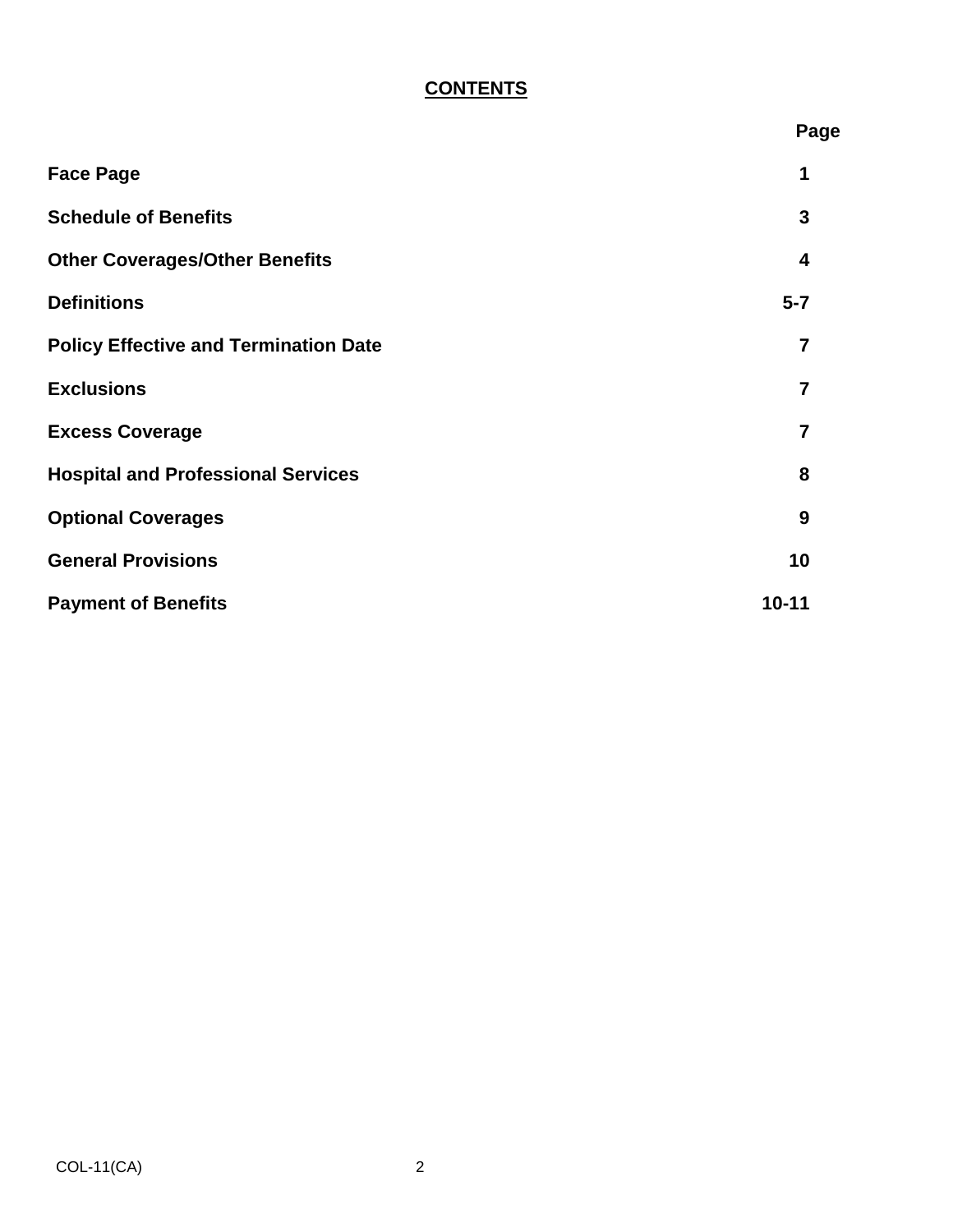# **CONTENTS**

|                                              | Page           |
|----------------------------------------------|----------------|
| <b>Face Page</b>                             | 1              |
| <b>Schedule of Benefits</b>                  | 3              |
| <b>Other Coverages/Other Benefits</b>        | 4              |
| <b>Definitions</b>                           | $5 - 7$        |
| <b>Policy Effective and Termination Date</b> | $\overline{7}$ |
| <b>Exclusions</b>                            | $\overline{7}$ |
| <b>Excess Coverage</b>                       | 7              |
| <b>Hospital and Professional Services</b>    | 8              |
| <b>Optional Coverages</b>                    | 9              |
| <b>General Provisions</b>                    | 10             |
| <b>Payment of Benefits</b>                   | $10 - 11$      |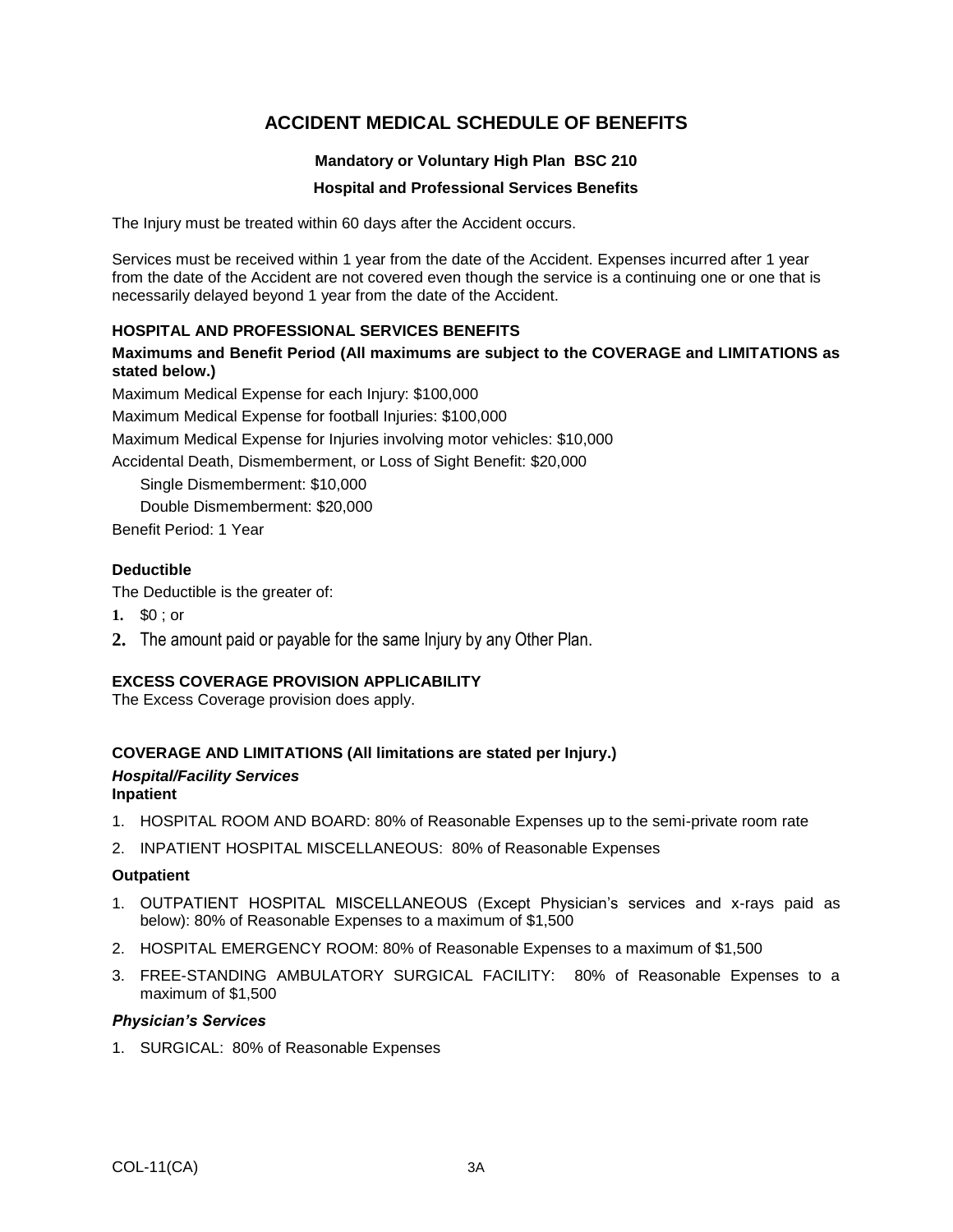## **ACCIDENT MEDICAL SCHEDULE OF BENEFITS**

### **Mandatory or Voluntary High Plan BSC 210**

### **Hospital and Professional Services Benefits**

The Injury must be treated within 60 days after the Accident occurs.

Services must be received within 1 year from the date of the Accident. Expenses incurred after 1 year from the date of the Accident are not covered even though the service is a continuing one or one that is necessarily delayed beyond 1 year from the date of the Accident.

### **HOSPITAL AND PROFESSIONAL SERVICES BENEFITS**

**Maximums and Benefit Period (All maximums are subject to the COVERAGE and LIMITATIONS as stated below.)**

Maximum Medical Expense for each Injury: \$100,000

Maximum Medical Expense for football Injuries: \$100,000

Maximum Medical Expense for Injuries involving motor vehicles: \$10,000

Accidental Death, Dismemberment, or Loss of Sight Benefit: \$20,000

Single Dismemberment: \$10,000 Double Dismemberment: \$20,000

Benefit Period: 1 Year

### **Deductible**

The Deductible is the greater of:

- **1.** \$0 ; or
- **2.** The amount paid or payable for the same Injury by any Other Plan.

### **EXCESS COVERAGE PROVISION APPLICABILITY**

The Excess Coverage provision does apply.

### **COVERAGE AND LIMITATIONS (All limitations are stated per Injury.)**

#### *Hospital/Facility Services* **Inpatient**

- 1. HOSPITAL ROOM AND BOARD: 80% of Reasonable Expenses up to the semi-private room rate
- 2. INPATIENT HOSPITAL MISCELLANEOUS: 80% of Reasonable Expenses

#### **Outpatient**

- 1. OUTPATIENT HOSPITAL MISCELLANEOUS (Except Physician's services and x-rays paid as below): 80% of Reasonable Expenses to a maximum of \$1,500
- 2. HOSPITAL EMERGENCY ROOM: 80% of Reasonable Expenses to a maximum of \$1,500
- 3. FREE-STANDING AMBULATORY SURGICAL FACILITY: 80% of Reasonable Expenses to a maximum of \$1,500

#### *Physician's Services*

1. SURGICAL: 80% of Reasonable Expenses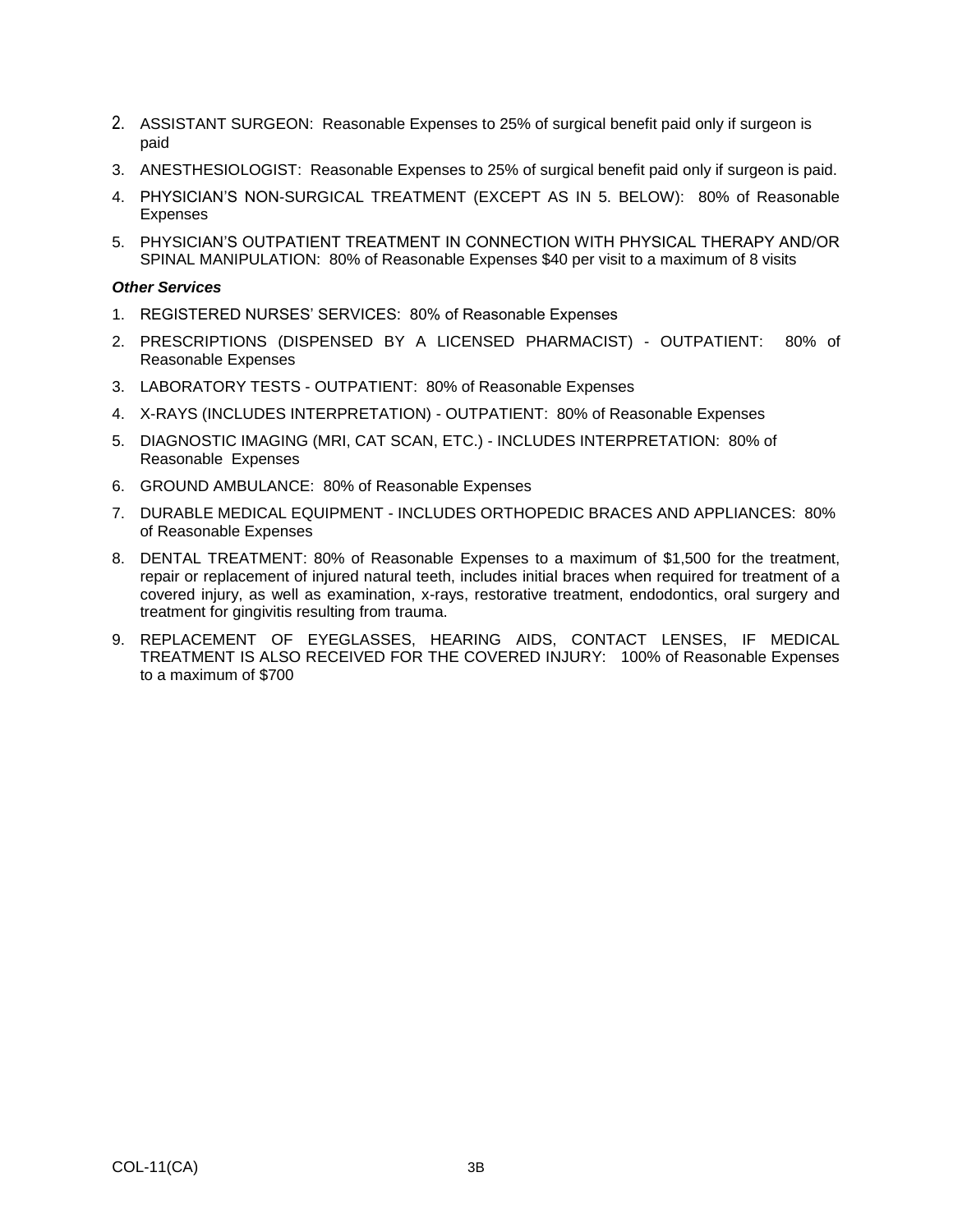- 2. ASSISTANT SURGEON: Reasonable Expenses to 25% of surgical benefit paid only if surgeon is paid
- 3. ANESTHESIOLOGIST: Reasonable Expenses to 25% of surgical benefit paid only if surgeon is paid.
- 4. PHYSICIAN'S NON-SURGICAL TREATMENT (EXCEPT AS IN 5. BELOW): 80% of Reasonable Expenses
- 5. PHYSICIAN'S OUTPATIENT TREATMENT IN CONNECTION WITH PHYSICAL THERAPY AND/OR SPINAL MANIPULATION: 80% of Reasonable Expenses \$40 per visit to a maximum of 8 visits

#### *Other Services*

- 1. REGISTERED NURSES' SERVICES: 80% of Reasonable Expenses
- 2. PRESCRIPTIONS (DISPENSED BY A LICENSED PHARMACIST) OUTPATIENT: 80% of Reasonable Expenses
- 3. LABORATORY TESTS OUTPATIENT: 80% of Reasonable Expenses
- 4. X-RAYS (INCLUDES INTERPRETATION) OUTPATIENT: 80% of Reasonable Expenses
- 5. DIAGNOSTIC IMAGING (MRI, CAT SCAN, ETC.) INCLUDES INTERPRETATION: 80% of Reasonable Expenses
- 6. GROUND AMBULANCE: 80% of Reasonable Expenses
- 7. DURABLE MEDICAL EQUIPMENT INCLUDES ORTHOPEDIC BRACES AND APPLIANCES: 80% of Reasonable Expenses
- 8. DENTAL TREATMENT: 80% of Reasonable Expenses to a maximum of \$1,500 for the treatment, repair or replacement of injured natural teeth, includes initial braces when required for treatment of a covered injury, as well as examination, x-rays, restorative treatment, endodontics, oral surgery and treatment for gingivitis resulting from trauma.
- 9. REPLACEMENT OF EYEGLASSES, HEARING AIDS, CONTACT LENSES, IF MEDICAL TREATMENT IS ALSO RECEIVED FOR THE COVERED INJURY: 100% of Reasonable Expenses to a maximum of \$700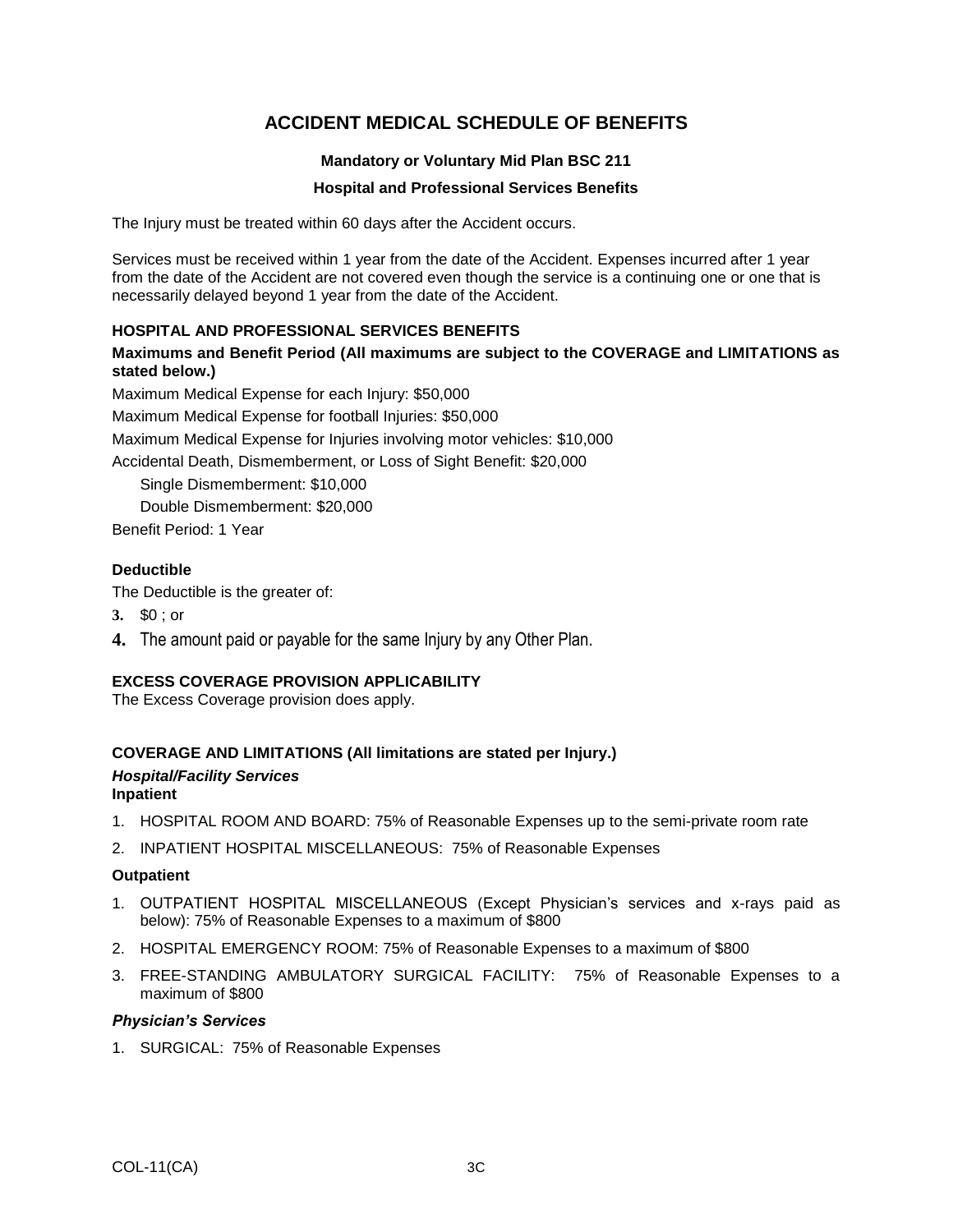## **ACCIDENT MEDICAL SCHEDULE OF BENEFITS**

### **Mandatory or Voluntary Mid Plan BSC 211**

### **Hospital and Professional Services Benefits**

The Injury must be treated within 60 days after the Accident occurs.

Services must be received within 1 year from the date of the Accident. Expenses incurred after 1 year from the date of the Accident are not covered even though the service is a continuing one or one that is necessarily delayed beyond 1 year from the date of the Accident.

### **HOSPITAL AND PROFESSIONAL SERVICES BENEFITS**

**Maximums and Benefit Period (All maximums are subject to the COVERAGE and LIMITATIONS as stated below.)**

Maximum Medical Expense for each Injury: \$50,000

Maximum Medical Expense for football Injuries: \$50,000

Maximum Medical Expense for Injuries involving motor vehicles: \$10,000

Accidental Death, Dismemberment, or Loss of Sight Benefit: \$20,000

Single Dismemberment: \$10,000 Double Dismemberment: \$20,000

Benefit Period: 1 Year

### **Deductible**

The Deductible is the greater of:

- **3.** \$0 ; or
- **4.** The amount paid or payable for the same Injury by any Other Plan.

### **EXCESS COVERAGE PROVISION APPLICABILITY**

The Excess Coverage provision does apply.

### **COVERAGE AND LIMITATIONS (All limitations are stated per Injury.)**

#### *Hospital/Facility Services* **Inpatient**

- 1. HOSPITAL ROOM AND BOARD: 75% of Reasonable Expenses up to the semi-private room rate
- 2. INPATIENT HOSPITAL MISCELLANEOUS: 75% of Reasonable Expenses

#### **Outpatient**

- 1. OUTPATIENT HOSPITAL MISCELLANEOUS (Except Physician's services and x-rays paid as below): 75% of Reasonable Expenses to a maximum of \$800
- 2. HOSPITAL EMERGENCY ROOM: 75% of Reasonable Expenses to a maximum of \$800
- 3. FREE-STANDING AMBULATORY SURGICAL FACILITY: 75% of Reasonable Expenses to a maximum of \$800

#### *Physician's Services*

1. SURGICAL: 75% of Reasonable Expenses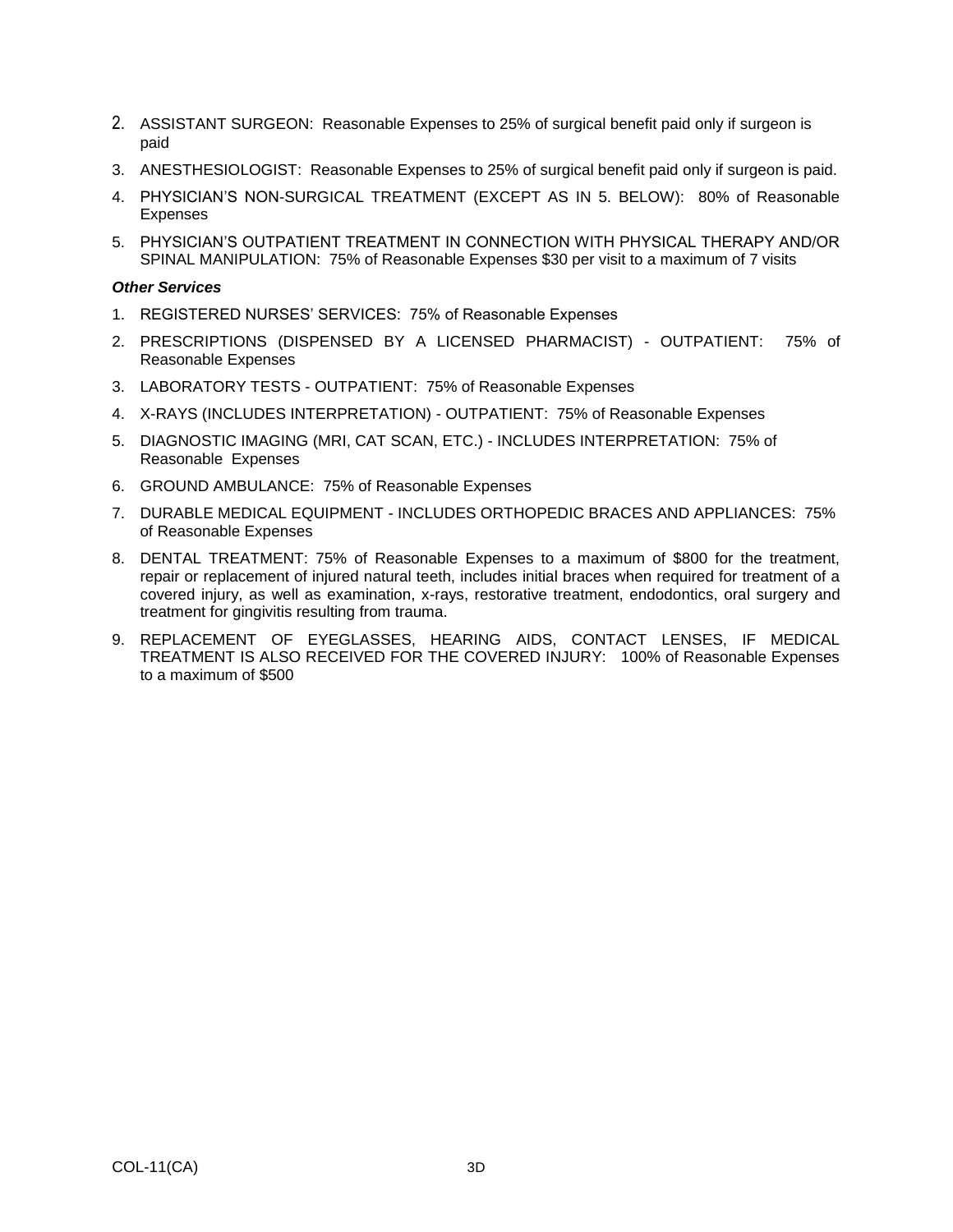- 2. ASSISTANT SURGEON: Reasonable Expenses to 25% of surgical benefit paid only if surgeon is paid
- 3. ANESTHESIOLOGIST: Reasonable Expenses to 25% of surgical benefit paid only if surgeon is paid.
- 4. PHYSICIAN'S NON-SURGICAL TREATMENT (EXCEPT AS IN 5. BELOW): 80% of Reasonable Expenses
- 5. PHYSICIAN'S OUTPATIENT TREATMENT IN CONNECTION WITH PHYSICAL THERAPY AND/OR SPINAL MANIPULATION: 75% of Reasonable Expenses \$30 per visit to a maximum of 7 visits

#### *Other Services*

- 1. REGISTERED NURSES' SERVICES: 75% of Reasonable Expenses
- 2. PRESCRIPTIONS (DISPENSED BY A LICENSED PHARMACIST) OUTPATIENT: 75% of Reasonable Expenses
- 3. LABORATORY TESTS OUTPATIENT: 75% of Reasonable Expenses
- 4. X-RAYS (INCLUDES INTERPRETATION) OUTPATIENT: 75% of Reasonable Expenses
- 5. DIAGNOSTIC IMAGING (MRI, CAT SCAN, ETC.) INCLUDES INTERPRETATION: 75% of Reasonable Expenses
- 6. GROUND AMBULANCE: 75% of Reasonable Expenses
- 7. DURABLE MEDICAL EQUIPMENT INCLUDES ORTHOPEDIC BRACES AND APPLIANCES: 75% of Reasonable Expenses
- 8. DENTAL TREATMENT: 75% of Reasonable Expenses to a maximum of \$800 for the treatment, repair or replacement of injured natural teeth, includes initial braces when required for treatment of a covered injury, as well as examination, x-rays, restorative treatment, endodontics, oral surgery and treatment for gingivitis resulting from trauma.
- 9. REPLACEMENT OF EYEGLASSES, HEARING AIDS, CONTACT LENSES, IF MEDICAL TREATMENT IS ALSO RECEIVED FOR THE COVERED INJURY: 100% of Reasonable Expenses to a maximum of \$500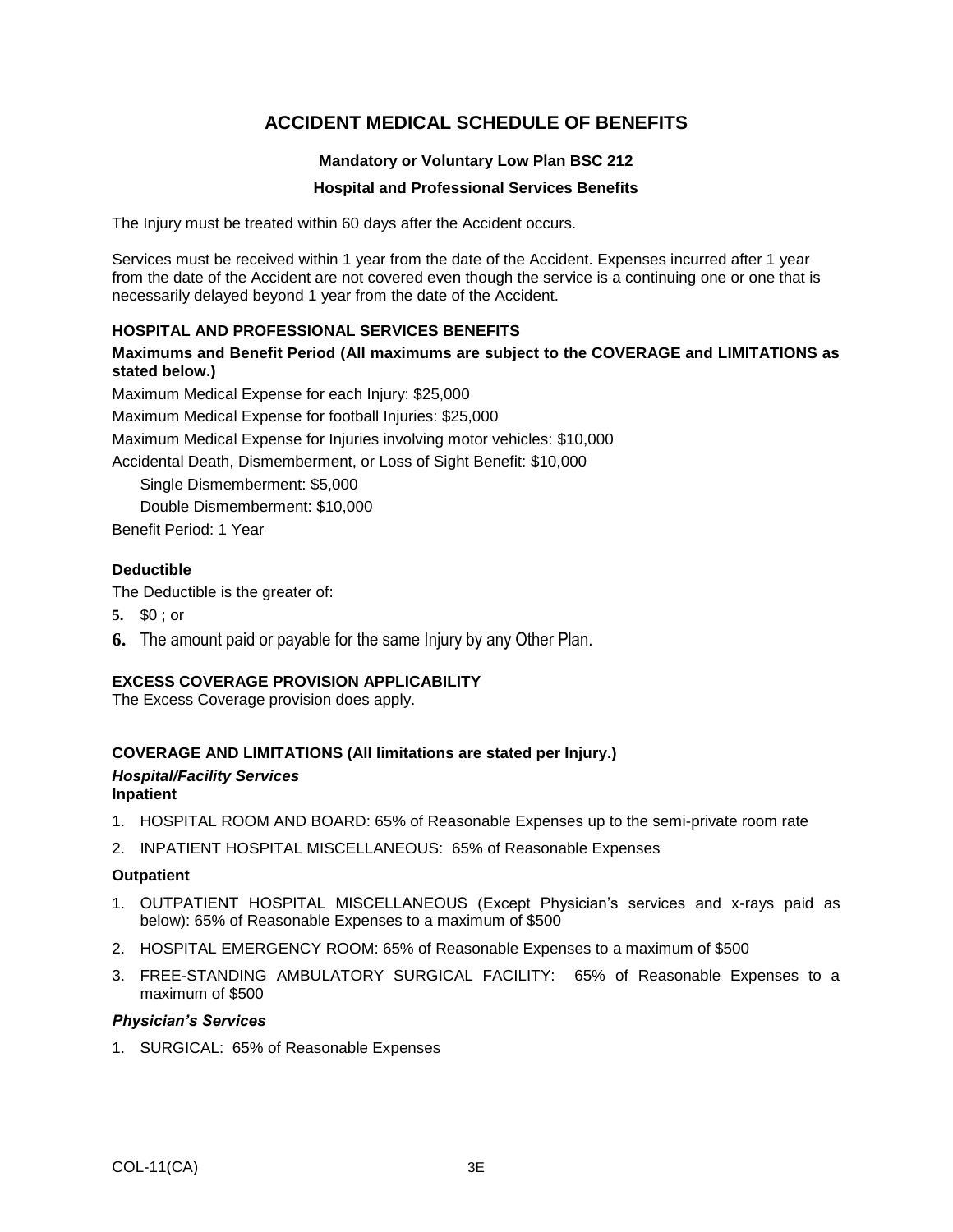## **ACCIDENT MEDICAL SCHEDULE OF BENEFITS**

### **Mandatory or Voluntary Low Plan BSC 212**

#### **Hospital and Professional Services Benefits**

The Injury must be treated within 60 days after the Accident occurs.

Services must be received within 1 year from the date of the Accident. Expenses incurred after 1 year from the date of the Accident are not covered even though the service is a continuing one or one that is necessarily delayed beyond 1 year from the date of the Accident.

### **HOSPITAL AND PROFESSIONAL SERVICES BENEFITS**

**Maximums and Benefit Period (All maximums are subject to the COVERAGE and LIMITATIONS as stated below.)**

Maximum Medical Expense for each Injury: \$25,000

Maximum Medical Expense for football Injuries: \$25,000

Maximum Medical Expense for Injuries involving motor vehicles: \$10,000

Accidental Death, Dismemberment, or Loss of Sight Benefit: \$10,000

Single Dismemberment: \$5,000

Double Dismemberment: \$10,000

Benefit Period: 1 Year

### **Deductible**

The Deductible is the greater of:

- **5.** \$0 ; or
- **6.** The amount paid or payable for the same Injury by any Other Plan.

### **EXCESS COVERAGE PROVISION APPLICABILITY**

The Excess Coverage provision does apply.

### **COVERAGE AND LIMITATIONS (All limitations are stated per Injury.)**

#### *Hospital/Facility Services* **Inpatient**

- 1. HOSPITAL ROOM AND BOARD: 65% of Reasonable Expenses up to the semi-private room rate
- 2. INPATIENT HOSPITAL MISCELLANEOUS: 65% of Reasonable Expenses

#### **Outpatient**

- 1. OUTPATIENT HOSPITAL MISCELLANEOUS (Except Physician's services and x-rays paid as below): 65% of Reasonable Expenses to a maximum of \$500
- 2. HOSPITAL EMERGENCY ROOM: 65% of Reasonable Expenses to a maximum of \$500
- 3. FREE-STANDING AMBULATORY SURGICAL FACILITY: 65% of Reasonable Expenses to a maximum of \$500

#### *Physician's Services*

1. SURGICAL: 65% of Reasonable Expenses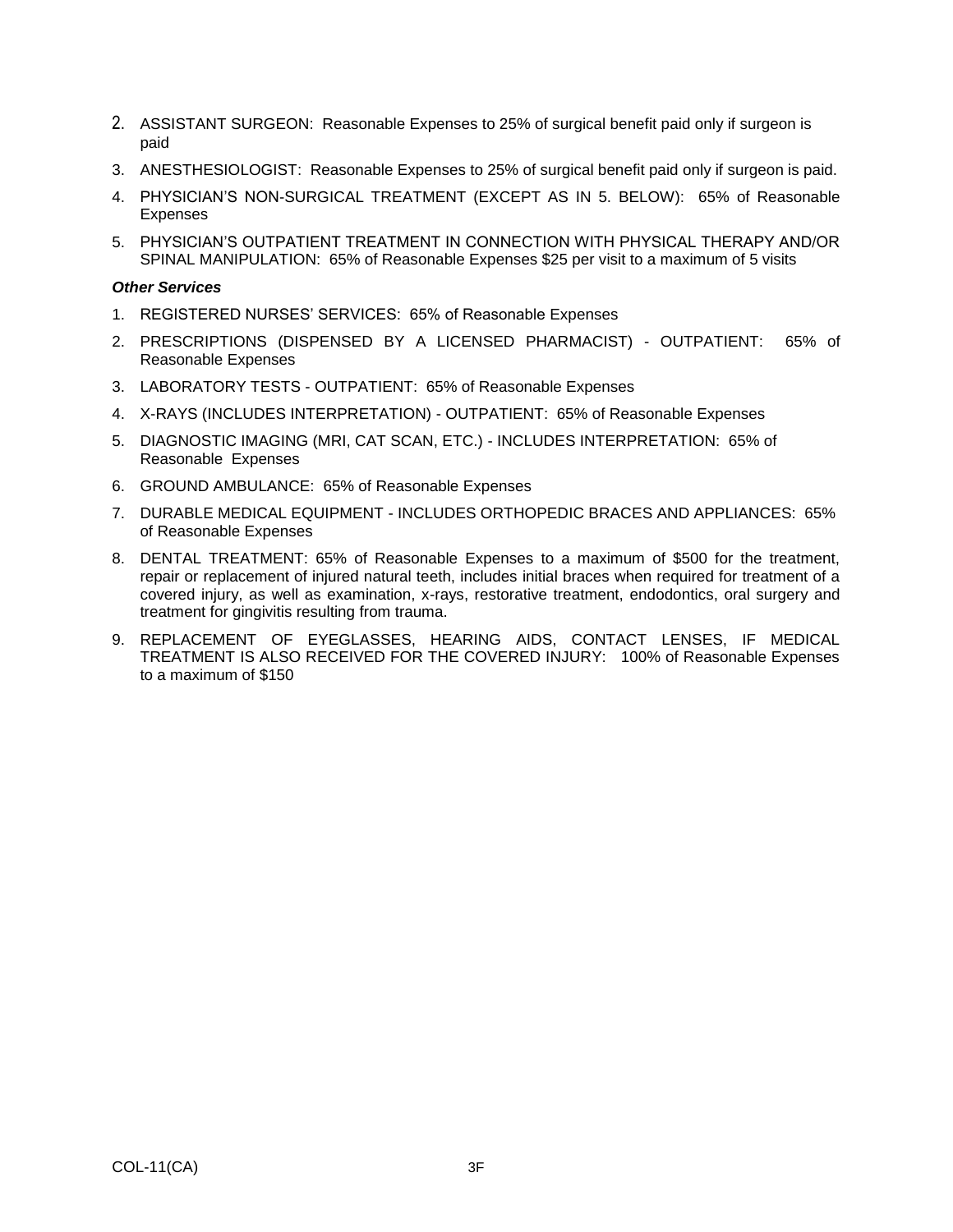- 2. ASSISTANT SURGEON: Reasonable Expenses to 25% of surgical benefit paid only if surgeon is paid
- 3. ANESTHESIOLOGIST: Reasonable Expenses to 25% of surgical benefit paid only if surgeon is paid.
- 4. PHYSICIAN'S NON-SURGICAL TREATMENT (EXCEPT AS IN 5. BELOW): 65% of Reasonable Expenses
- 5. PHYSICIAN'S OUTPATIENT TREATMENT IN CONNECTION WITH PHYSICAL THERAPY AND/OR SPINAL MANIPULATION: 65% of Reasonable Expenses \$25 per visit to a maximum of 5 visits

#### *Other Services*

- 1. REGISTERED NURSES' SERVICES: 65% of Reasonable Expenses
- 2. PRESCRIPTIONS (DISPENSED BY A LICENSED PHARMACIST) OUTPATIENT: 65% of Reasonable Expenses
- 3. LABORATORY TESTS OUTPATIENT: 65% of Reasonable Expenses
- 4. X-RAYS (INCLUDES INTERPRETATION) OUTPATIENT: 65% of Reasonable Expenses
- 5. DIAGNOSTIC IMAGING (MRI, CAT SCAN, ETC.) INCLUDES INTERPRETATION: 65% of Reasonable Expenses
- 6. GROUND AMBULANCE: 65% of Reasonable Expenses
- 7. DURABLE MEDICAL EQUIPMENT INCLUDES ORTHOPEDIC BRACES AND APPLIANCES: 65% of Reasonable Expenses
- 8. DENTAL TREATMENT: 65% of Reasonable Expenses to a maximum of \$500 for the treatment, repair or replacement of injured natural teeth, includes initial braces when required for treatment of a covered injury, as well as examination, x-rays, restorative treatment, endodontics, oral surgery and treatment for gingivitis resulting from trauma.
- 9. REPLACEMENT OF EYEGLASSES, HEARING AIDS, CONTACT LENSES, IF MEDICAL TREATMENT IS ALSO RECEIVED FOR THE COVERED INJURY: 100% of Reasonable Expenses to a maximum of \$150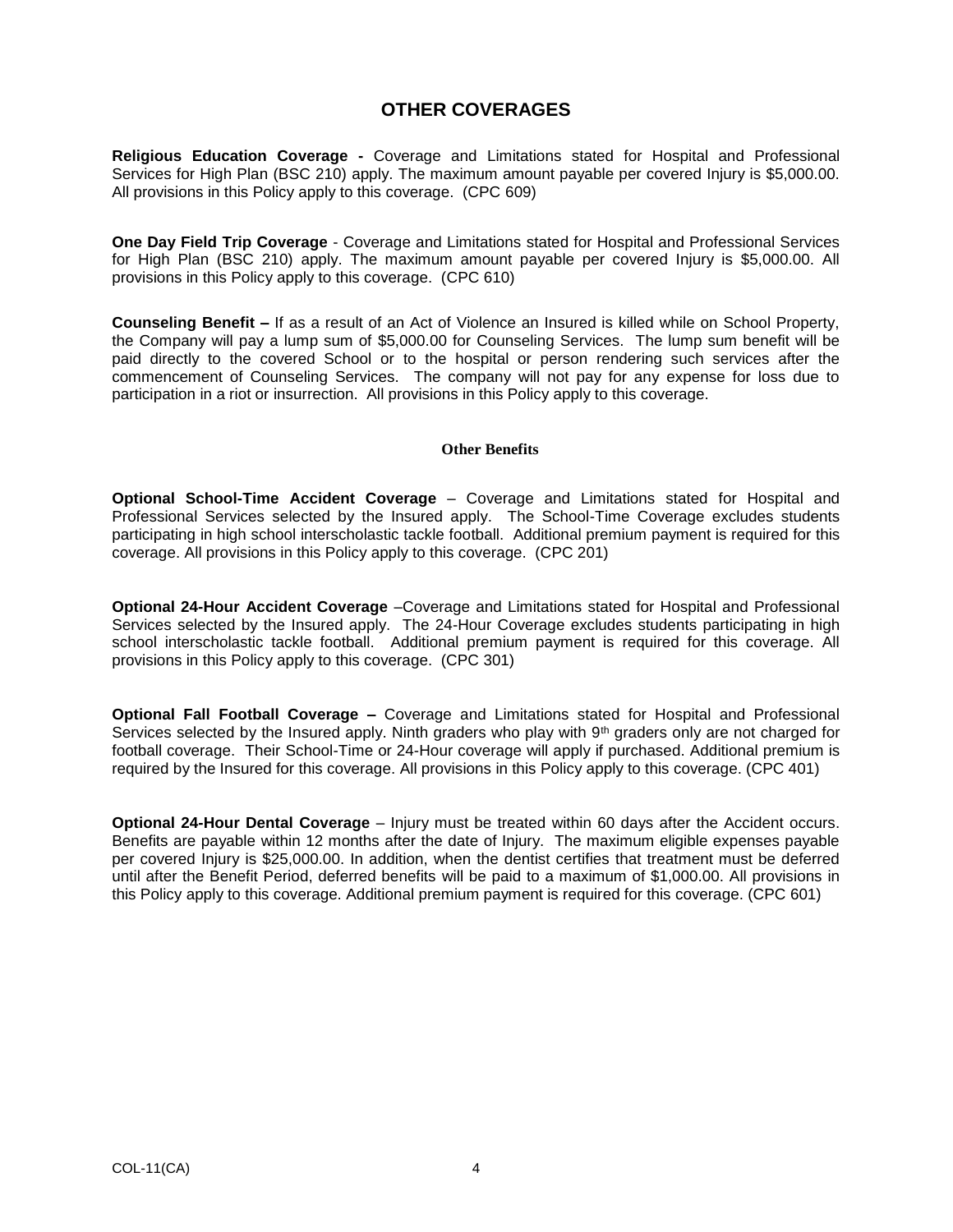## **OTHER COVERAGES**

**Religious Education Coverage -** Coverage and Limitations stated for Hospital and Professional Services for High Plan (BSC 210) apply. The maximum amount payable per covered Injury is \$5,000.00. All provisions in this Policy apply to this coverage. (CPC 609)

**One Day Field Trip Coverage** - Coverage and Limitations stated for Hospital and Professional Services for High Plan (BSC 210) apply. The maximum amount payable per covered Injury is \$5,000.00. All provisions in this Policy apply to this coverage. (CPC 610)

**Counseling Benefit –** If as a result of an Act of Violence an Insured is killed while on School Property, the Company will pay a lump sum of \$5,000.00 for Counseling Services. The lump sum benefit will be paid directly to the covered School or to the hospital or person rendering such services after the commencement of Counseling Services. The company will not pay for any expense for loss due to participation in a riot or insurrection. All provisions in this Policy apply to this coverage.

#### **Other Benefits**

**Optional School-Time Accident Coverage** – Coverage and Limitations stated for Hospital and Professional Services selected by the Insured apply. The School-Time Coverage excludes students participating in high school interscholastic tackle football. Additional premium payment is required for this coverage. All provisions in this Policy apply to this coverage. (CPC 201)

**Optional 24-Hour Accident Coverage** –Coverage and Limitations stated for Hospital and Professional Services selected by the Insured apply. The 24-Hour Coverage excludes students participating in high school interscholastic tackle football. Additional premium payment is required for this coverage. All provisions in this Policy apply to this coverage. (CPC 301)

**Optional Fall Football Coverage –** Coverage and Limitations stated for Hospital and Professional Services selected by the Insured apply. Ninth graders who play with 9<sup>th</sup> graders only are not charged for football coverage. Their School-Time or 24-Hour coverage will apply if purchased. Additional premium is required by the Insured for this coverage. All provisions in this Policy apply to this coverage. (CPC 401)

**Optional 24-Hour Dental Coverage** – Injury must be treated within 60 days after the Accident occurs. Benefits are payable within 12 months after the date of Injury. The maximum eligible expenses payable per covered Injury is \$25,000.00. In addition, when the dentist certifies that treatment must be deferred until after the Benefit Period, deferred benefits will be paid to a maximum of \$1,000.00. All provisions in this Policy apply to this coverage. Additional premium payment is required for this coverage. (CPC 601)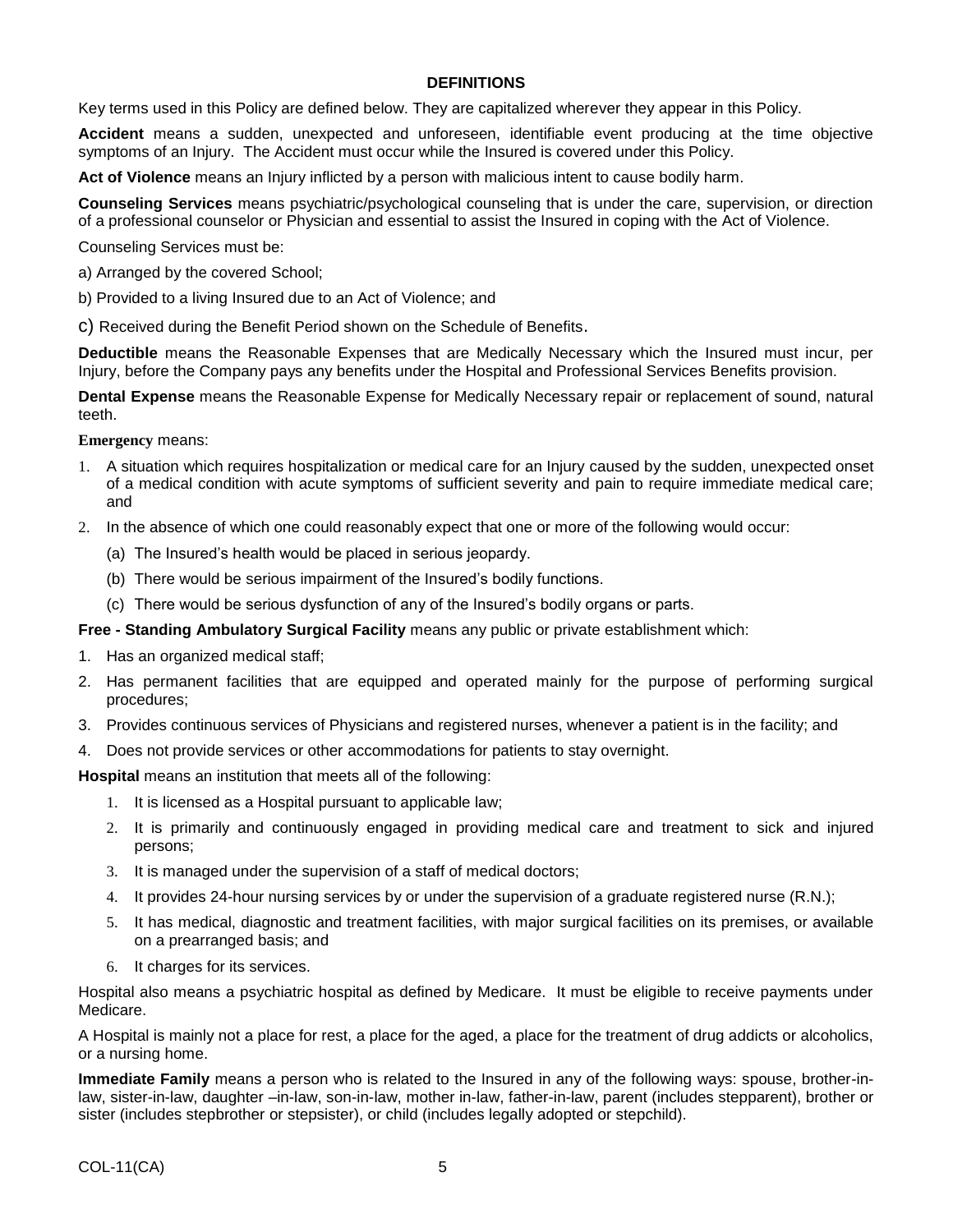### **DEFINITIONS**

Key terms used in this Policy are defined below. They are capitalized wherever they appear in this Policy.

**Accident** means a sudden, unexpected and unforeseen, identifiable event producing at the time objective symptoms of an Injury. The Accident must occur while the Insured is covered under this Policy.

**Act of Violence** means an Injury inflicted by a person with malicious intent to cause bodily harm.

**Counseling Services** means psychiatric/psychological counseling that is under the care, supervision, or direction of a professional counselor or Physician and essential to assist the Insured in coping with the Act of Violence.

Counseling Services must be:

- a) Arranged by the covered School;
- b) Provided to a living Insured due to an Act of Violence; and
- c) Received during the Benefit Period shown on the Schedule of Benefits.

**Deductible** means the Reasonable Expenses that are Medically Necessary which the Insured must incur, per Injury, before the Company pays any benefits under the Hospital and Professional Services Benefits provision.

**Dental Expense** means the Reasonable Expense for Medically Necessary repair or replacement of sound, natural teeth.

**Emergency** means:

- 1. A situation which requires hospitalization or medical care for an Injury caused by the sudden, unexpected onset of a medical condition with acute symptoms of sufficient severity and pain to require immediate medical care; and
- 2. In the absence of which one could reasonably expect that one or more of the following would occur:
	- (a) The Insured's health would be placed in serious jeopardy.
	- (b) There would be serious impairment of the Insured's bodily functions.
	- (c) There would be serious dysfunction of any of the Insured's bodily organs or parts.

**Free - Standing Ambulatory Surgical Facility** means any public or private establishment which:

- 1. Has an organized medical staff;
- 2. Has permanent facilities that are equipped and operated mainly for the purpose of performing surgical procedures;
- 3. Provides continuous services of Physicians and registered nurses, whenever a patient is in the facility; and
- 4. Does not provide services or other accommodations for patients to stay overnight.

**Hospital** means an institution that meets all of the following:

- 1. It is licensed as a Hospital pursuant to applicable law;
- 2. It is primarily and continuously engaged in providing medical care and treatment to sick and injured persons;
- 3. It is managed under the supervision of a staff of medical doctors;
- 4. It provides 24-hour nursing services by or under the supervision of a graduate registered nurse (R.N.);
- 5. It has medical, diagnostic and treatment facilities, with major surgical facilities on its premises, or available on a prearranged basis; and
- 6. It charges for its services.

Hospital also means a psychiatric hospital as defined by Medicare. It must be eligible to receive payments under Medicare.

A Hospital is mainly not a place for rest, a place for the aged, a place for the treatment of drug addicts or alcoholics, or a nursing home.

**Immediate Family** means a person who is related to the Insured in any of the following ways: spouse, brother-inlaw, sister-in-law, daughter –in-law, son-in-law, mother in-law, father-in-law, parent (includes stepparent), brother or sister (includes stepbrother or stepsister), or child (includes legally adopted or stepchild).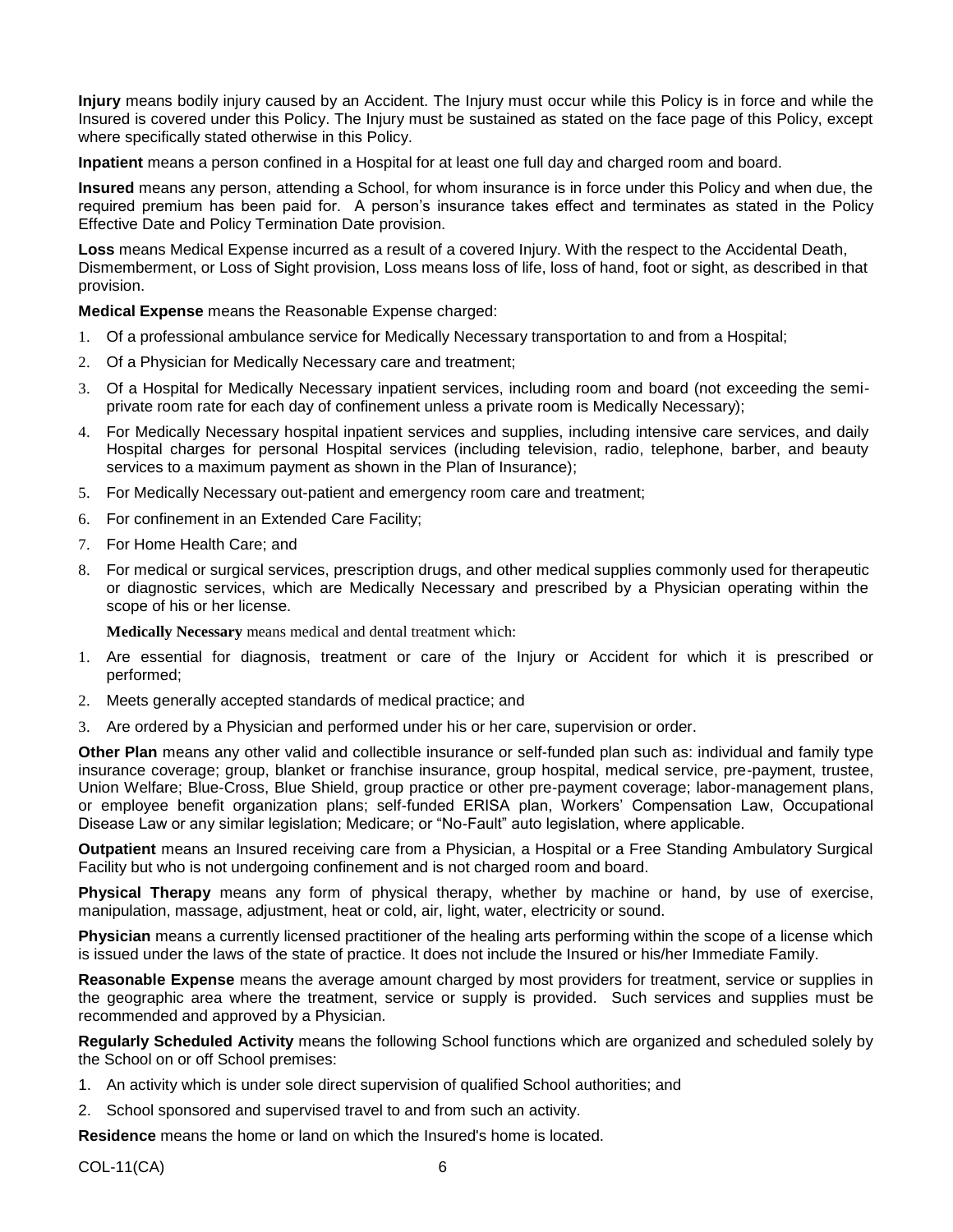**Injury** means bodily injury caused by an Accident. The Injury must occur while this Policy is in force and while the Insured is covered under this Policy. The Injury must be sustained as stated on the face page of this Policy, except where specifically stated otherwise in this Policy.

**Inpatient** means a person confined in a Hospital for at least one full day and charged room and board.

**Insured** means any person, attending a School, for whom insurance is in force under this Policy and when due, the required premium has been paid for. A person's insurance takes effect and terminates as stated in the Policy Effective Date and Policy Termination Date provision.

**Loss** means Medical Expense incurred as a result of a covered Injury. With the respect to the Accidental Death, Dismemberment, or Loss of Sight provision, Loss means loss of life, loss of hand, foot or sight, as described in that provision.

**Medical Expense** means the Reasonable Expense charged:

- 1. Of a professional ambulance service for Medically Necessary transportation to and from a Hospital;
- 2. Of a Physician for Medically Necessary care and treatment;
- 3. Of a Hospital for Medically Necessary inpatient services, including room and board (not exceeding the semiprivate room rate for each day of confinement unless a private room is Medically Necessary);
- 4. For Medically Necessary hospital inpatient services and supplies, including intensive care services, and daily Hospital charges for personal Hospital services (including television, radio, telephone, barber, and beauty services to a maximum payment as shown in the Plan of Insurance);
- 5. For Medically Necessary out-patient and emergency room care and treatment;
- 6. For confinement in an Extended Care Facility;
- 7. For Home Health Care; and
- 8. For medical or surgical services, prescription drugs, and other medical supplies commonly used for therapeutic or diagnostic services, which are Medically Necessary and prescribed by a Physician operating within the scope of his or her license.

**Medically Necessary** means medical and dental treatment which:

- 1. Are essential for diagnosis, treatment or care of the Injury or Accident for which it is prescribed or performed;
- 2. Meets generally accepted standards of medical practice; and
- 3. Are ordered by a Physician and performed under his or her care, supervision or order.

**Other Plan** means any other valid and collectible insurance or self-funded plan such as: individual and family type insurance coverage; group, blanket or franchise insurance, group hospital, medical service, pre-payment, trustee, Union Welfare; Blue-Cross, Blue Shield, group practice or other pre-payment coverage; labor-management plans, or employee benefit organization plans; self-funded ERISA plan, Workers' Compensation Law, Occupational Disease Law or any similar legislation; Medicare; or "No-Fault" auto legislation, where applicable.

**Outpatient** means an Insured receiving care from a Physician, a Hospital or a Free Standing Ambulatory Surgical Facility but who is not undergoing confinement and is not charged room and board.

**Physical Therapy** means any form of physical therapy, whether by machine or hand, by use of exercise, manipulation, massage, adjustment, heat or cold, air, light, water, electricity or sound.

**Physician** means a currently licensed practitioner of the healing arts performing within the scope of a license which is issued under the laws of the state of practice. It does not include the Insured or his/her Immediate Family.

**Reasonable Expense** means the average amount charged by most providers for treatment, service or supplies in the geographic area where the treatment, service or supply is provided. Such services and supplies must be recommended and approved by a Physician.

**Regularly Scheduled Activity** means the following School functions which are organized and scheduled solely by the School on or off School premises:

- 1. An activity which is under sole direct supervision of qualified School authorities; and
- 2. School sponsored and supervised travel to and from such an activity.

**Residence** means the home or land on which the Insured's home is located.

COL-11(CA) 6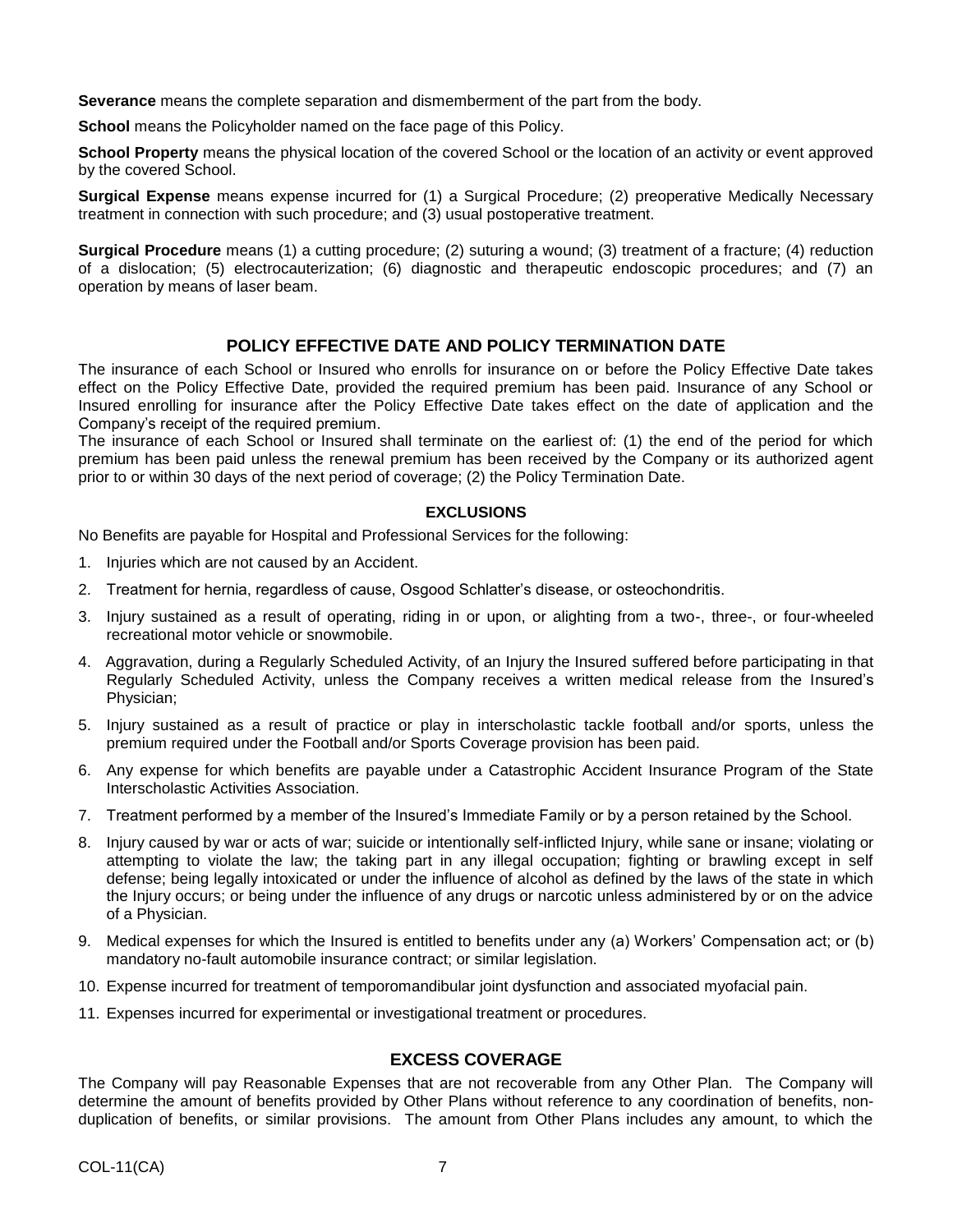**Severance** means the complete separation and dismemberment of the part from the body.

**School** means the Policyholder named on the face page of this Policy.

**School Property** means the physical location of the covered School or the location of an activity or event approved by the covered School.

**Surgical Expense** means expense incurred for (1) a Surgical Procedure; (2) preoperative Medically Necessary treatment in connection with such procedure; and (3) usual postoperative treatment.

**Surgical Procedure** means (1) a cutting procedure; (2) suturing a wound; (3) treatment of a fracture; (4) reduction of a dislocation; (5) electrocauterization; (6) diagnostic and therapeutic endoscopic procedures; and (7) an operation by means of laser beam.

### **POLICY EFFECTIVE DATE AND POLICY TERMINATION DATE**

The insurance of each School or Insured who enrolls for insurance on or before the Policy Effective Date takes effect on the Policy Effective Date, provided the required premium has been paid. Insurance of any School or Insured enrolling for insurance after the Policy Effective Date takes effect on the date of application and the Company's receipt of the required premium.

The insurance of each School or Insured shall terminate on the earliest of: (1) the end of the period for which premium has been paid unless the renewal premium has been received by the Company or its authorized agent prior to or within 30 days of the next period of coverage; (2) the Policy Termination Date.

### **EXCLUSIONS**

No Benefits are payable for Hospital and Professional Services for the following:

- 1. Injuries which are not caused by an Accident.
- 2. Treatment for hernia, regardless of cause, Osgood Schlatter's disease, or osteochondritis.
- 3. Injury sustained as a result of operating, riding in or upon, or alighting from a two-, three-, or four-wheeled recreational motor vehicle or snowmobile.
- 4. Aggravation, during a Regularly Scheduled Activity, of an Injury the Insured suffered before participating in that Regularly Scheduled Activity, unless the Company receives a written medical release from the Insured's Physician;
- 5. Injury sustained as a result of practice or play in interscholastic tackle football and/or sports, unless the premium required under the Football and/or Sports Coverage provision has been paid.
- 6. Any expense for which benefits are payable under a Catastrophic Accident Insurance Program of the State Interscholastic Activities Association.
- 7. Treatment performed by a member of the Insured's Immediate Family or by a person retained by the School.
- 8. Injury caused by war or acts of war; suicide or intentionally self-inflicted Injury, while sane or insane; violating or attempting to violate the law; the taking part in any illegal occupation; fighting or brawling except in self defense; being legally intoxicated or under the influence of alcohol as defined by the laws of the state in which the Injury occurs; or being under the influence of any drugs or narcotic unless administered by or on the advice of a Physician.
- 9. Medical expenses for which the Insured is entitled to benefits under any (a) Workers' Compensation act; or (b) mandatory no-fault automobile insurance contract; or similar legislation.
- 10. Expense incurred for treatment of temporomandibular joint dysfunction and associated myofacial pain.
- 11. Expenses incurred for experimental or investigational treatment or procedures.

### **EXCESS COVERAGE**

The Company will pay Reasonable Expenses that are not recoverable from any Other Plan. The Company will determine the amount of benefits provided by Other Plans without reference to any coordination of benefits, nonduplication of benefits, or similar provisions. The amount from Other Plans includes any amount, to which the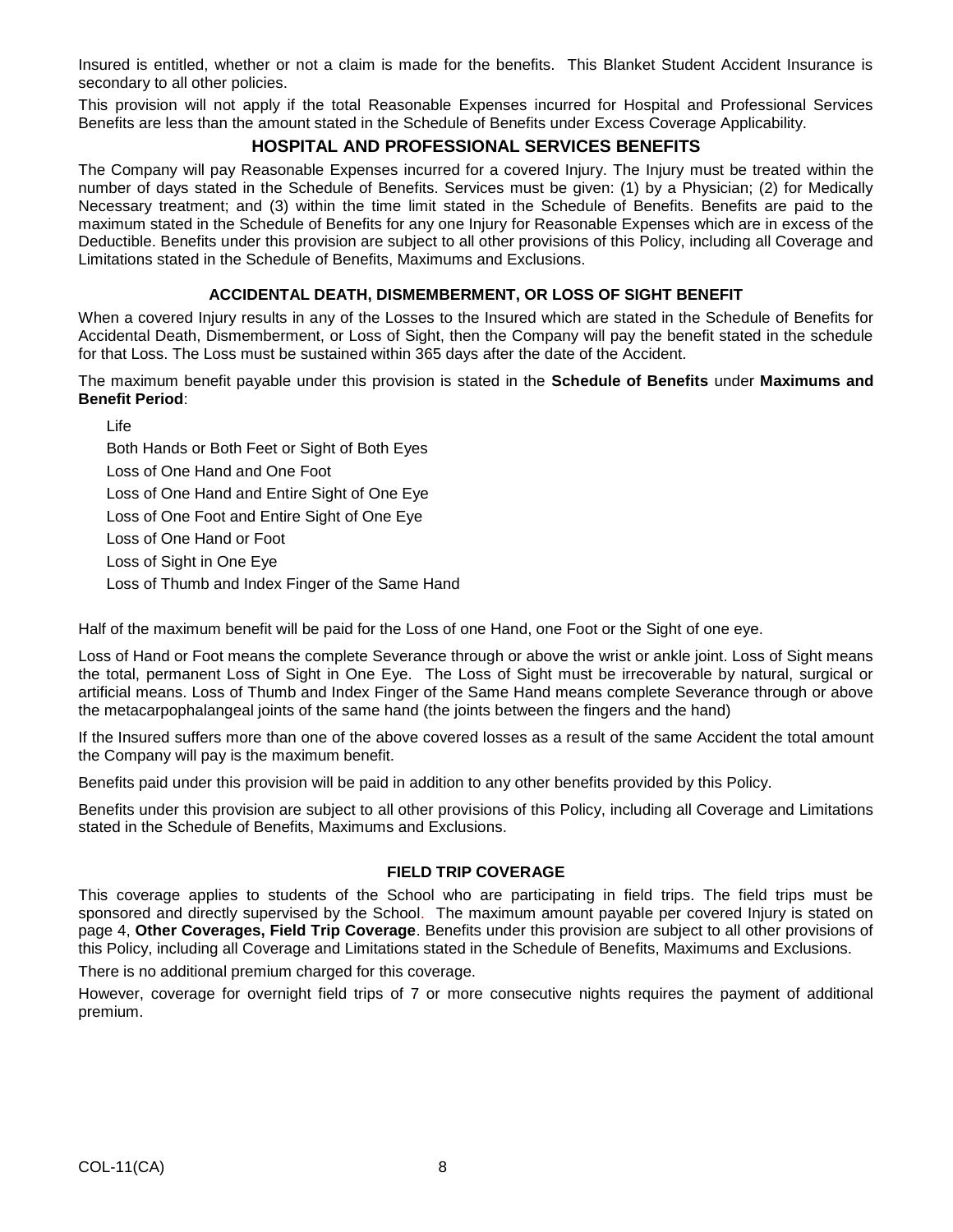Insured is entitled, whether or not a claim is made for the benefits. This Blanket Student Accident Insurance is secondary to all other policies.

This provision will not apply if the total Reasonable Expenses incurred for Hospital and Professional Services Benefits are less than the amount stated in the Schedule of Benefits under Excess Coverage Applicability.

### **HOSPITAL AND PROFESSIONAL SERVICES BENEFITS**

The Company will pay Reasonable Expenses incurred for a covered Injury. The Injury must be treated within the number of days stated in the Schedule of Benefits. Services must be given: (1) by a Physician; (2) for Medically Necessary treatment; and (3) within the time limit stated in the Schedule of Benefits. Benefits are paid to the maximum stated in the Schedule of Benefits for any one Injury for Reasonable Expenses which are in excess of the Deductible. Benefits under this provision are subject to all other provisions of this Policy, including all Coverage and Limitations stated in the Schedule of Benefits, Maximums and Exclusions.

### **ACCIDENTAL DEATH, DISMEMBERMENT, OR LOSS OF SIGHT BENEFIT**

When a covered Injury results in any of the Losses to the Insured which are stated in the Schedule of Benefits for Accidental Death, Dismemberment, or Loss of Sight, then the Company will pay the benefit stated in the schedule for that Loss. The Loss must be sustained within 365 days after the date of the Accident.

The maximum benefit payable under this provision is stated in the **Schedule of Benefits** under **Maximums and Benefit Period**:

Life

Both Hands or Both Feet or Sight of Both Eyes Loss of One Hand and One Foot Loss of One Hand and Entire Sight of One Eye Loss of One Foot and Entire Sight of One Eye Loss of One Hand or Foot Loss of Sight in One Eye Loss of Thumb and Index Finger of the Same Hand

Half of the maximum benefit will be paid for the Loss of one Hand, one Foot or the Sight of one eye.

Loss of Hand or Foot means the complete Severance through or above the wrist or ankle joint. Loss of Sight means the total, permanent Loss of Sight in One Eye. The Loss of Sight must be irrecoverable by natural, surgical or artificial means. Loss of Thumb and Index Finger of the Same Hand means complete Severance through or above the metacarpophalangeal joints of the same hand (the joints between the fingers and the hand)

If the Insured suffers more than one of the above covered losses as a result of the same Accident the total amount the Company will pay is the maximum benefit.

Benefits paid under this provision will be paid in addition to any other benefits provided by this Policy.

Benefits under this provision are subject to all other provisions of this Policy, including all Coverage and Limitations stated in the Schedule of Benefits, Maximums and Exclusions.

### **FIELD TRIP COVERAGE**

This coverage applies to students of the School who are participating in field trips. The field trips must be sponsored and directly supervised by the School. The maximum amount payable per covered Injury is stated on page 4, **Other Coverages, Field Trip Coverage**. Benefits under this provision are subject to all other provisions of this Policy, including all Coverage and Limitations stated in the Schedule of Benefits, Maximums and Exclusions.

There is no additional premium charged for this coverage.

However, coverage for overnight field trips of 7 or more consecutive nights requires the payment of additional premium.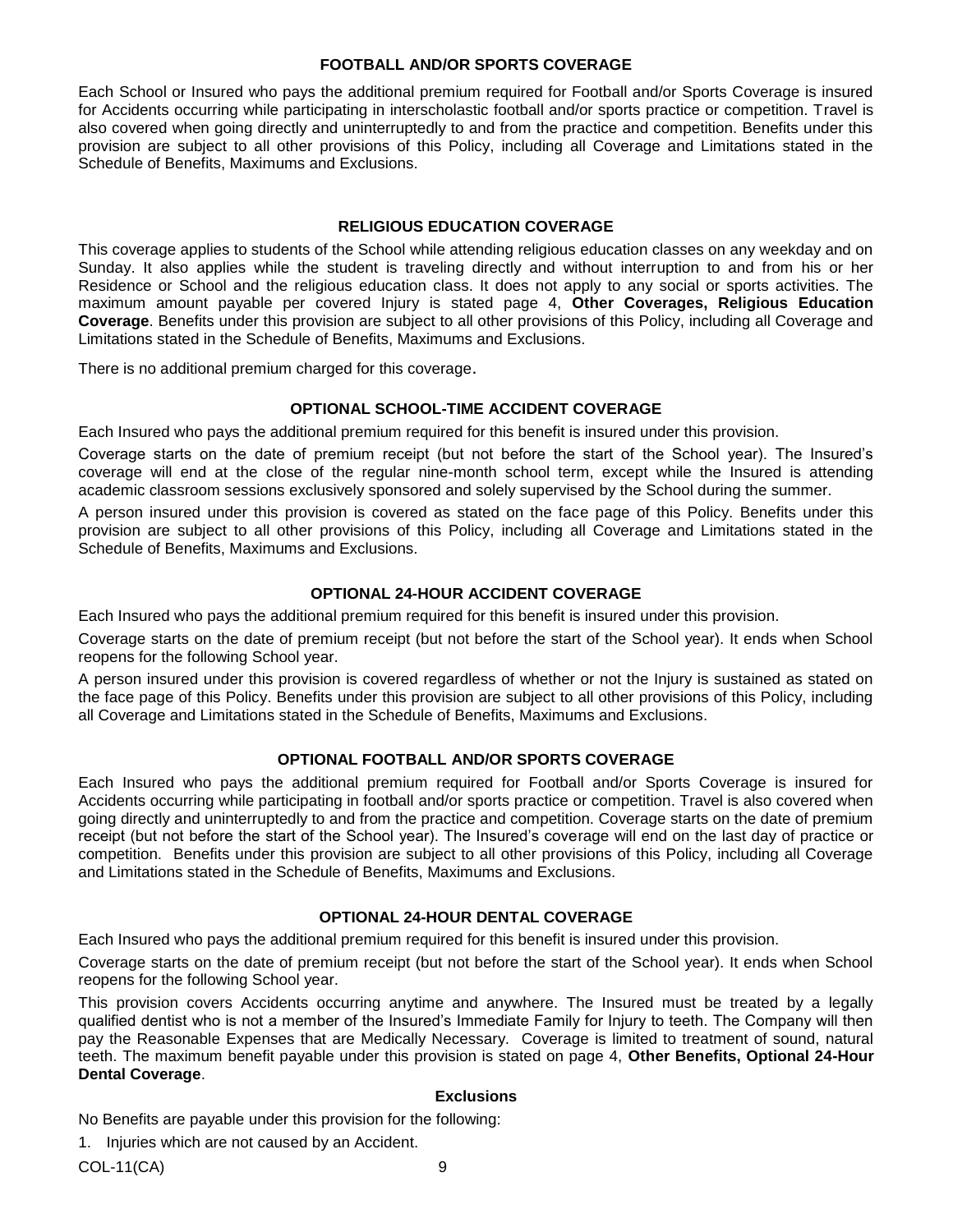#### **FOOTBALL AND/OR SPORTS COVERAGE**

Each School or Insured who pays the additional premium required for Football and/or Sports Coverage is insured for Accidents occurring while participating in interscholastic football and/or sports practice or competition. Travel is also covered when going directly and uninterruptedly to and from the practice and competition. Benefits under this provision are subject to all other provisions of this Policy, including all Coverage and Limitations stated in the Schedule of Benefits, Maximums and Exclusions.

#### **RELIGIOUS EDUCATION COVERAGE**

This coverage applies to students of the School while attending religious education classes on any weekday and on Sunday. It also applies while the student is traveling directly and without interruption to and from his or her Residence or School and the religious education class. It does not apply to any social or sports activities. The maximum amount payable per covered Injury is stated page 4, **Other Coverages, Religious Education Coverage**. Benefits under this provision are subject to all other provisions of this Policy, including all Coverage and Limitations stated in the Schedule of Benefits, Maximums and Exclusions.

There is no additional premium charged for this coverage.

#### **OPTIONAL SCHOOL-TIME ACCIDENT COVERAGE**

Each Insured who pays the additional premium required for this benefit is insured under this provision.

Coverage starts on the date of premium receipt (but not before the start of the School year). The Insured's coverage will end at the close of the regular nine-month school term, except while the Insured is attending academic classroom sessions exclusively sponsored and solely supervised by the School during the summer.

A person insured under this provision is covered as stated on the face page of this Policy. Benefits under this provision are subject to all other provisions of this Policy, including all Coverage and Limitations stated in the Schedule of Benefits, Maximums and Exclusions.

#### **OPTIONAL 24-HOUR ACCIDENT COVERAGE**

Each Insured who pays the additional premium required for this benefit is insured under this provision.

Coverage starts on the date of premium receipt (but not before the start of the School year). It ends when School reopens for the following School year.

A person insured under this provision is covered regardless of whether or not the Injury is sustained as stated on the face page of this Policy. Benefits under this provision are subject to all other provisions of this Policy, including all Coverage and Limitations stated in the Schedule of Benefits, Maximums and Exclusions.

#### **OPTIONAL FOOTBALL AND/OR SPORTS COVERAGE**

Each Insured who pays the additional premium required for Football and/or Sports Coverage is insured for Accidents occurring while participating in football and/or sports practice or competition. Travel is also covered when going directly and uninterruptedly to and from the practice and competition. Coverage starts on the date of premium receipt (but not before the start of the School year). The Insured's coverage will end on the last day of practice or competition. Benefits under this provision are subject to all other provisions of this Policy, including all Coverage and Limitations stated in the Schedule of Benefits, Maximums and Exclusions.

#### **OPTIONAL 24-HOUR DENTAL COVERAGE**

Each Insured who pays the additional premium required for this benefit is insured under this provision.

Coverage starts on the date of premium receipt (but not before the start of the School year). It ends when School reopens for the following School year.

This provision covers Accidents occurring anytime and anywhere. The Insured must be treated by a legally qualified dentist who is not a member of the Insured's Immediate Family for Injury to teeth. The Company will then pay the Reasonable Expenses that are Medically Necessary. Coverage is limited to treatment of sound, natural teeth. The maximum benefit payable under this provision is stated on page 4, **Other Benefits, Optional 24-Hour Dental Coverage**.

#### **Exclusions**

No Benefits are payable under this provision for the following:

1. Injuries which are not caused by an Accident.

COL-11(CA) 9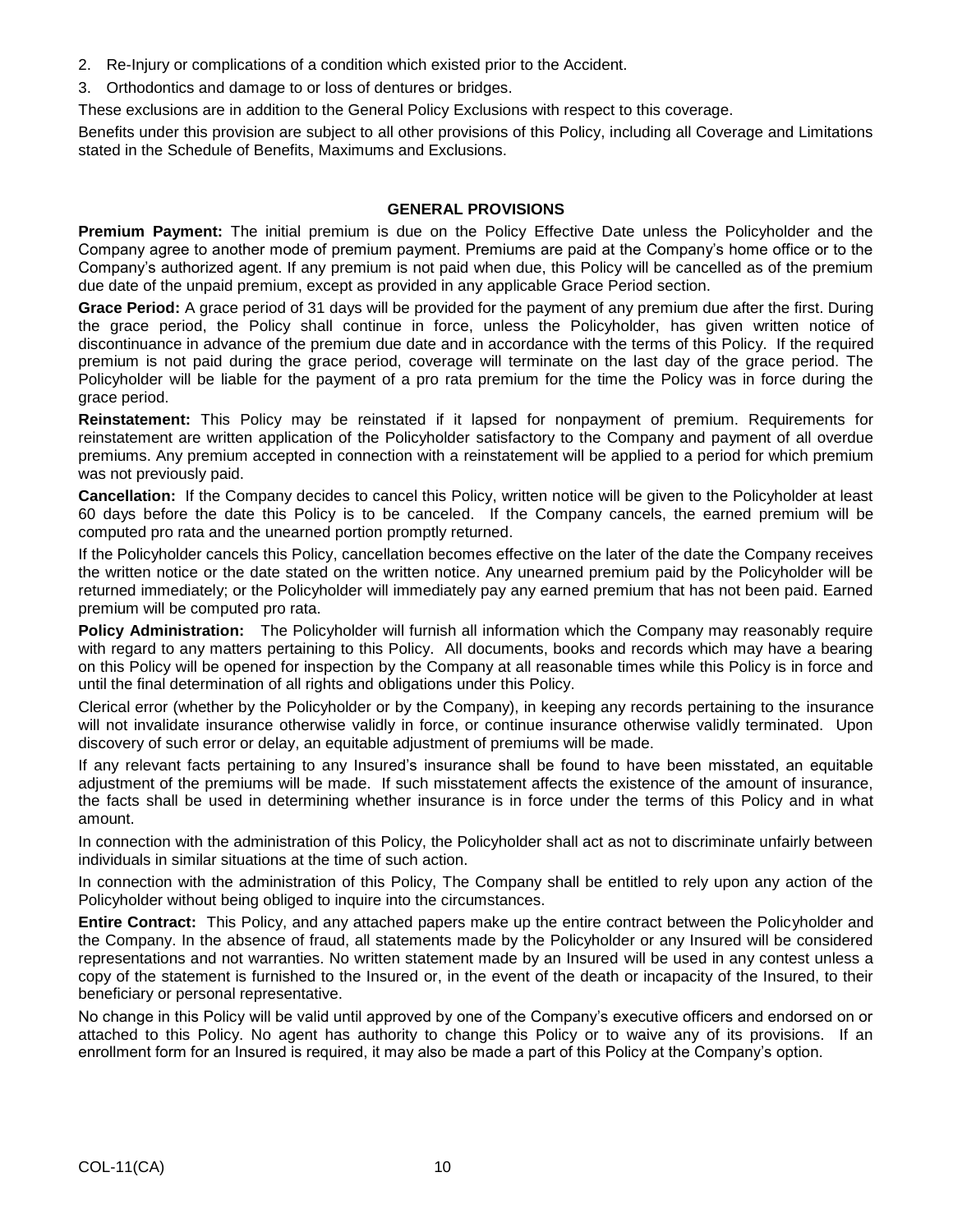- 2. Re-Injury or complications of a condition which existed prior to the Accident.
- 3. Orthodontics and damage to or loss of dentures or bridges.

These exclusions are in addition to the General Policy Exclusions with respect to this coverage.

Benefits under this provision are subject to all other provisions of this Policy, including all Coverage and Limitations stated in the Schedule of Benefits, Maximums and Exclusions.

#### **GENERAL PROVISIONS**

**Premium Payment:** The initial premium is due on the Policy Effective Date unless the Policyholder and the Company agree to another mode of premium payment. Premiums are paid at the Company's home office or to the Company's authorized agent. If any premium is not paid when due, this Policy will be cancelled as of the premium due date of the unpaid premium, except as provided in any applicable Grace Period section.

**Grace Period:** A grace period of 31 days will be provided for the payment of any premium due after the first. During the grace period, the Policy shall continue in force, unless the Policyholder, has given written notice of discontinuance in advance of the premium due date and in accordance with the terms of this Policy. If the required premium is not paid during the grace period, coverage will terminate on the last day of the grace period. The Policyholder will be liable for the payment of a pro rata premium for the time the Policy was in force during the grace period.

**Reinstatement:** This Policy may be reinstated if it lapsed for nonpayment of premium. Requirements for reinstatement are written application of the Policyholder satisfactory to the Company and payment of all overdue premiums. Any premium accepted in connection with a reinstatement will be applied to a period for which premium was not previously paid.

**Cancellation:** If the Company decides to cancel this Policy, written notice will be given to the Policyholder at least 60 days before the date this Policy is to be canceled. If the Company cancels, the earned premium will be computed pro rata and the unearned portion promptly returned.

If the Policyholder cancels this Policy, cancellation becomes effective on the later of the date the Company receives the written notice or the date stated on the written notice. Any unearned premium paid by the Policyholder will be returned immediately; or the Policyholder will immediately pay any earned premium that has not been paid. Earned premium will be computed pro rata.

**Policy Administration:** The Policyholder will furnish all information which the Company may reasonably require with regard to any matters pertaining to this Policy. All documents, books and records which may have a bearing on this Policy will be opened for inspection by the Company at all reasonable times while this Policy is in force and until the final determination of all rights and obligations under this Policy.

Clerical error (whether by the Policyholder or by the Company), in keeping any records pertaining to the insurance will not invalidate insurance otherwise validly in force, or continue insurance otherwise validly terminated. Upon discovery of such error or delay, an equitable adjustment of premiums will be made.

If any relevant facts pertaining to any Insured's insurance shall be found to have been misstated, an equitable adjustment of the premiums will be made. If such misstatement affects the existence of the amount of insurance, the facts shall be used in determining whether insurance is in force under the terms of this Policy and in what amount.

In connection with the administration of this Policy, the Policyholder shall act as not to discriminate unfairly between individuals in similar situations at the time of such action.

In connection with the administration of this Policy, The Company shall be entitled to rely upon any action of the Policyholder without being obliged to inquire into the circumstances.

**Entire Contract:** This Policy, and any attached papers make up the entire contract between the Policyholder and the Company. In the absence of fraud, all statements made by the Policyholder or any Insured will be considered representations and not warranties. No written statement made by an Insured will be used in any contest unless a copy of the statement is furnished to the Insured or, in the event of the death or incapacity of the Insured, to their beneficiary or personal representative.

No change in this Policy will be valid until approved by one of the Company's executive officers and endorsed on or attached to this Policy. No agent has authority to change this Policy or to waive any of its provisions. If an enrollment form for an Insured is required, it may also be made a part of this Policy at the Company's option.